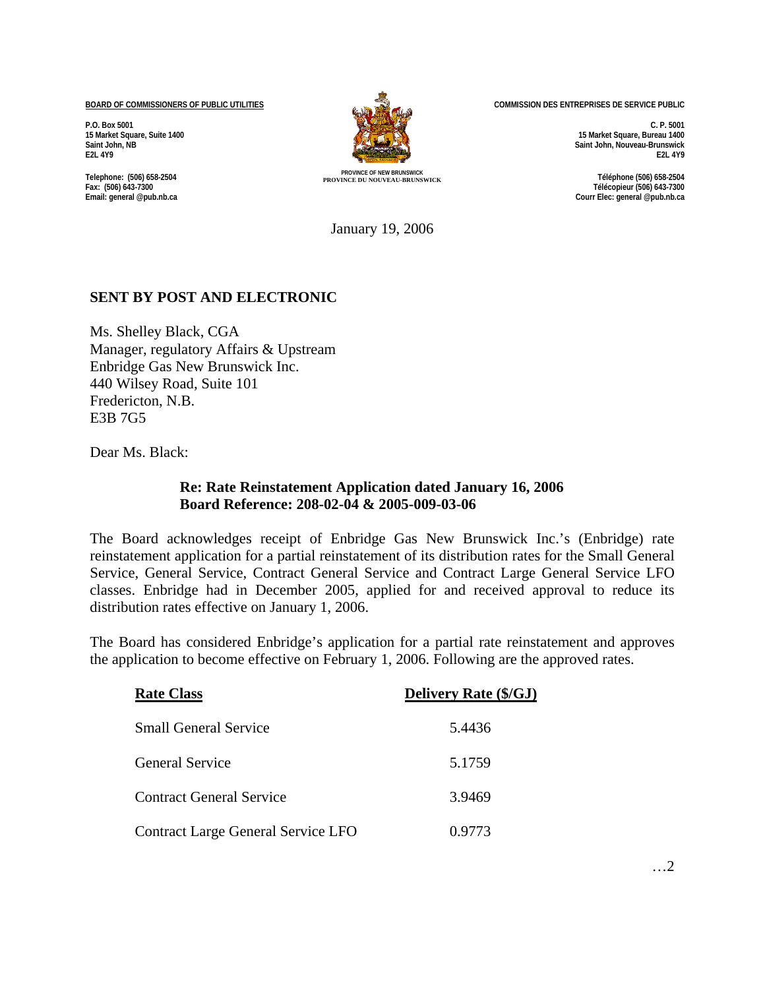**BOARD OF COMMISSIONERS OF PUBLIC UTILITIES**

**P.O. Box 5001 15 Market Square, Suite 1400 Saint John, NB E2L 4Y9**

**Telephone: (506) 658-2504 Fax: (506) 643-7300 Email: general @pub.nb.ca**



**PROVINCE OF NEW BRUNSWICK PROVINCE DU NOUVEAU-BRUNSWICK Téléphone (506) 658-2504** 

**COMMISSION DES ENTREPRISES DE SERVICE PUBLIC** 

**C. P. 5001 15 Market Square, Bureau 1400 Saint John, Nouveau-Brunswick E2L 4Y9** 

**Télécopieur (506) 643-7300 Courr Elec: general @pub.nb.ca**

January 19, 2006

## **SENT BY POST AND ELECTRONIC**

Ms. Shelley Black, CGA Manager, regulatory Affairs & Upstream Enbridge Gas New Brunswick Inc. 440 Wilsey Road, Suite 101 Fredericton, N.B. E3B 7G5

Dear Ms. Black:

## **Re: Rate Reinstatement Application dated January 16, 2006 Board Reference: 208-02-04 & 2005-009-03-06**

The Board acknowledges receipt of Enbridge Gas New Brunswick Inc.'s (Enbridge) rate reinstatement application for a partial reinstatement of its distribution rates for the Small General Service, General Service, Contract General Service and Contract Large General Service LFO classes. Enbridge had in December 2005, applied for and received approval to reduce its distribution rates effective on January 1, 2006.

The Board has considered Enbridge's application for a partial rate reinstatement and approves the application to become effective on February 1, 2006. Following are the approved rates.

| <b>Rate Class</b>                  | <b>Delivery Rate (\$/GJ)</b> |
|------------------------------------|------------------------------|
| <b>Small General Service</b>       | 5.4436                       |
| <b>General Service</b>             | 5.1759                       |
| <b>Contract General Service</b>    | 3.9469                       |
| Contract Large General Service LFO | 0.9773                       |